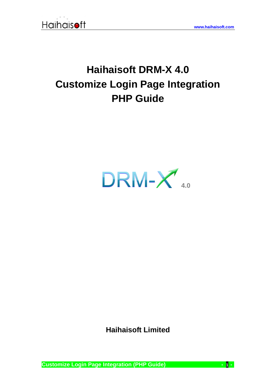

## **Haihaisoft DRM-X 4.0 Customize Login Page Integration PHP Guide**



**Haihaisoft Limited**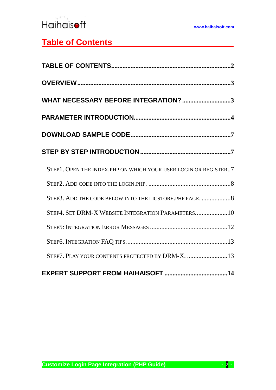## <span id="page-1-0"></span>**Table of Contents**

| WHAT NECESSARY BEFORE INTEGRATION? 3                            |
|-----------------------------------------------------------------|
|                                                                 |
|                                                                 |
|                                                                 |
| STEP1. OPEN THE INDEX.PHP ON WHICH YOUR USER LOGIN OR REGISTER7 |
|                                                                 |
| STEP3. ADD THE CODE BELOW INTO THE LICSTORE. PHP PAGE.  8       |
| STEP4. SET DRM-X WEBSITE INTEGRATION PARAMETERS10               |
|                                                                 |
|                                                                 |
| STEP7. PLAY YOUR CONTENTS PROTECTED BY DRM-X. 13                |
|                                                                 |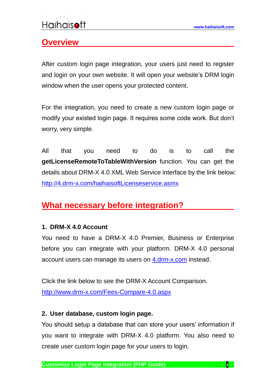## <span id="page-2-0"></span>**Overview**

After custom login page integration, your users just need to register and login on your own website. It will open your website's DRM login window when the user opens your protected content.

For the integration, you need to create a new custom login page or modify your existed login page. It requires some code work. But don't worry, very simple.

All that you need to do is to call the **getLicenseRemoteToTableWithVersion** function. You can get the details about DRM-X 4.0 XML Web Service interface by the link below: <http://4.drm-x.com/haihaisoftLicenseservice.asmx>

## <span id="page-2-1"></span>**What necessary before integration?**

### **1. DRM-X 4.0 Account**

You need to have a DRM-X 4.0 Premier, Business or Enterprise before you can integrate with your platform. DRM-X 4.0 personal account users can manage its users on [4.drm-x.com](http://4.drm-x.com/) instead.

Click the link below to see the DRM-X Account Comparison. <http://www.drm-x.com/Fees-Compare-4.0.aspx>

### **2. User database, custom login page.**

You should setup a database that can store your users' information if you want to integrate with DRM-X 4.0 platform. You also need to create user custom login page for your users to login.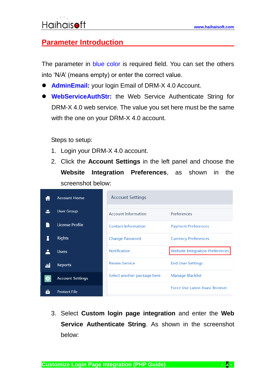## <span id="page-3-0"></span>**Parameter Introduction**

The parameter in blue color is required field. You can set the others into 'N/A' (means empty) or enter the correct value.

- ⚫ **AdminEmail:** your login Email of DRM-X 4.0 Account.
- ⚫ **WebServiceAuthStr:** the Web Service Authenticate String for DRM-X 4.0 web service. The value you set here must be the same with the one on your DRM-X 4.0 account.

Steps to setup:

- 1. Login your DRM-X 4.0 account.
- 2. Click the **Account Settings** in the left panel and choose the **Website Integration Preferences**, as shown in the screenshot below:

|    | <b>Account Home</b>     | <b>Account Settings</b>     |                                        |
|----|-------------------------|-----------------------------|----------------------------------------|
|    | <b>User Group</b>       | <b>Account Information</b>  | Preferences                            |
|    | <b>License Profile</b>  | <b>Contact Information</b>  | <b>Payment Preferences</b>             |
|    | <b>Rights</b>           | <b>Change Password</b>      | <b>Currency Preferences</b>            |
|    | <b>Users</b>            | <b>Notification</b>         | <b>Website Integration Preferences</b> |
| îĺ | <b>Reports</b>          | <b>Renew Service</b>        | <b>End User Settings</b>               |
|    | <b>Account Settings</b> | Select another package here | Manage Blacklist                       |
|    | <b>Protect File</b>     |                             | <b>Force Use Latest Xvast Browser</b>  |

3. Select **Custom login page integration** and enter the **Web Service Authenticate String**. As shown in the screenshot below: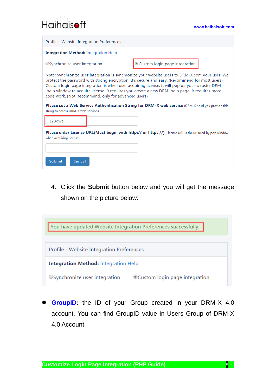| Profile - Website Integration Preferences                                                                                                                                                                                                                                                                                                                                                                                                                  |                                                                                                          |  |  |  |
|------------------------------------------------------------------------------------------------------------------------------------------------------------------------------------------------------------------------------------------------------------------------------------------------------------------------------------------------------------------------------------------------------------------------------------------------------------|----------------------------------------------------------------------------------------------------------|--|--|--|
| <b>Integration Method:</b> Integration Help                                                                                                                                                                                                                                                                                                                                                                                                                |                                                                                                          |  |  |  |
| ○Synchronize user integration                                                                                                                                                                                                                                                                                                                                                                                                                              | Custom login page integration                                                                            |  |  |  |
| Note: Synchronize user integration is synchronize your website users to DRM-X.com your user. We<br>protect the password with strong encryption. It's secure and easy. (Recommend for most users)<br>Custom login page integration is when user acquiring license, it will pop up your website DRM<br>login window to acquire license. It requires you create a new DRM login page. It requires more<br>code work. (Not Recommend, only for advanced users) |                                                                                                          |  |  |  |
| Please set a Web Service Authentication String for DRM-X web service (DRM-X need you provide this<br>string to access DRM-X web service.)                                                                                                                                                                                                                                                                                                                  |                                                                                                          |  |  |  |
| 123qwe                                                                                                                                                                                                                                                                                                                                                                                                                                                     |                                                                                                          |  |  |  |
| when acquiring license)                                                                                                                                                                                                                                                                                                                                                                                                                                    | Please enter License URL(Must begin with http:// or https://) (License URL is the url used by pop window |  |  |  |
| <b>Submit</b><br>Cancel                                                                                                                                                                                                                                                                                                                                                                                                                                    |                                                                                                          |  |  |  |

4. Click the **Submit** button below and you will get the message shown on the picture below:



**GroupID:** the ID of your Group created in your DRM-X 4.0 account. You can find GroupID value in Users Group of DRM-X 4.0 Account.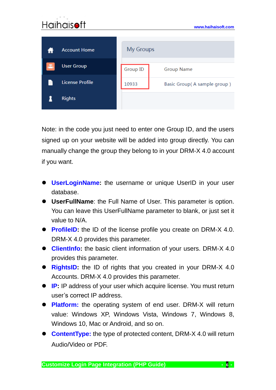

Note: in the code you just need to enter one Group ID, and the users signed up on your website will be added into group directly. You can manually change the group they belong to in your DRM-X 4.0 account if you want.

- ⚫ **UserLoginName:** the username or unique UserID in your user database.
- ⚫ **UserFullName**: the Full Name of User. This parameter is option. You can leave this UserFullName parameter to blank, or just set it value to N/A.
- **ProfileID:** the ID of the license profile you create on DRM-X 4.0. DRM-X 4.0 provides this parameter.
- ⚫ **ClientInfo:** the basic client information of your users. DRM-X 4.0 provides this parameter.
- **RightsID:** the ID of rights that you created in your DRM-X 4.0 Accounts. DRM-X 4.0 provides this parameter.
- **IP:** IP address of your user which acquire license. You must return user's correct IP address.
- ⚫ **Platform:** the operating system of end user. DRM-X will return value: Windows XP, Windows Vista, Windows 7, Windows 8, Windows 10, Mac or Android, and so on.
- ⚫ **ContentType:** the type of protected content, DRM-X 4.0 will return Audio/Video or PDF.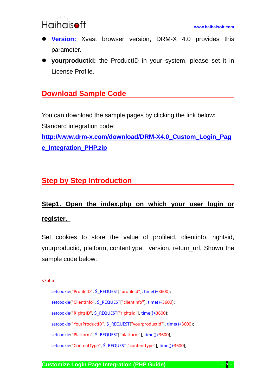

- ⚫ **Version:** Xvast browser version, DRM-X 4.0 provides this parameter.
- ⚫ **yourproductid:** the ProductID in your system, please set it in License Profile.

## <span id="page-6-0"></span>**Download Sample Code**

You can download the sample pages by clicking the link below: Standard integration code:

**[http://www.drm-x.com/download/DRM-X4.0\\_Custom\\_Login\\_Pag](http://www.drm-x.com/download/DRM-X4.0_Custom_Login_Page_Integration_PHP.zip) [e\\_Integration\\_PHP.zip](http://www.drm-x.com/download/DRM-X4.0_Custom_Login_Page_Integration_PHP.zip)**

## <span id="page-6-1"></span>**Step by Step Introduction**

## <span id="page-6-2"></span>**Step1. Open the index.php on which your user login or register.**

Set cookies to store the value of profileid, clientinfo, rightsid, yourproductid, platform, contenttype, version, return\_url. Shown the sample code below:

<?php

setcookie("ProfileID", \$\_REQUEST["profileid"], time()+3600); setcookie("ClientInfo", \$\_REQUEST["clientinfo"], time()+3600); setcookie("RightsID", \$\_REQUEST["rightsid"], time()+3600); setcookie("YourProductID", \$\_REQUEST["yourproductid"], time()+3600); setcookie("Platform", \$\_REQUEST["platform"], time()+3600); setcookie("ContentType", \$\_REQUEST["contenttype"], time()+3600);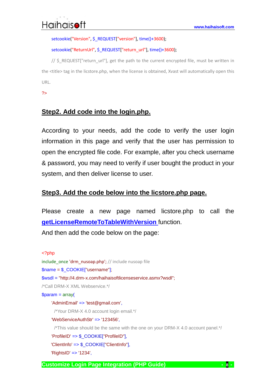setcookie("Version", \$\_REQUEST["version"], time()+3600);

#### setcookie("ReturnUrl", \$\_REQUEST["return\_url"], time()+3600);

// \$ REQUEST["return\_url"], get the path to the current encrypted file, must be written in the <title> tag in the licstore.php, when the license is obtained, Xvast will automatically open this URL.

<span id="page-7-0"></span>?>

### **Step2. Add code into the login.php.**

According to your needs, add the code to verify the user login information in this page and verify that the user has permission to open the encrypted file code. For example, after you check username & password, you may need to verify if user bought the product in your system, and then deliver license to user.

### <span id="page-7-1"></span>**Step3. Add the code below into the licstore.php page.**

Please create a new page named licstore.php to call the **[getLicenseRemoteToTableWithVersion](http://4.drm-x.com/haihaisoftLicenseservice.asmx?op=getLicenseRemoteToTableWithVersion)** function.

And then add the code below on the page:

#### <?php

include\_once 'drm\_nusoap.php'; // include nusoap file \$name = \$\_COOKIE["username"]; \$wsdl = "http://4.drm-x.com/haihaisoftlicenseservice.asmx?wsdl"; /\*Call DRM-X XML Webservice.\*/  $$param = array($ 'AdminEmail' => 'test@gmail.com', /\*Your DRM-X 4.0 account login email.\*/ 'WebServiceAuthStr' => '123456', /\*This value should be the same with the one on your DRM-X 4.0 account panel.\*/ 'ProfileID' => \$\_COOKIE["ProfileID"], 'ClientInfo' => \$\_COOKIE["ClientInfo"], 'RightsID' => '1234',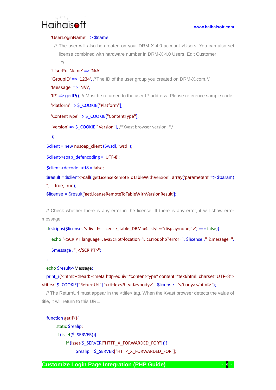#### 'UserLoginName' => \$name,

/\* The user will also be created on your DRM-X 4.0 account->Users. You can also set license combined with hardware number in DRM-X 4.0 Users, Edit Customer \*/

```
'UserFullName' => 'N/A',
```
**'GroupID' => '1234',** /\*The ID of the user group you created on DRM-X.com.\*/

```
'Message' => 'N/A',
```
'IP' => getIP(), // Must be returned to the user IP address. Please reference sample code.

```
'Platform' => $ COOKIE["Platform"],
```

```
'ContentType' => $ COOKIE["ContentType"],
```

```
'Version' => $ COOKIE["Version"], /*Xvast browser version. */
```

```
);
```
\$client = new nusoap\_client (\$wsdl, 'wsdl');

```
$client->soap_defencoding = 'UTF-8';
```

```
$client->decode_utf8 = false;
```

```
 $result = $client->call('getLicenseRemoteToTableWithVersion', array('parameters' => $param),
```
'', '', true, true);

\$license = \$result['getLicenseRemoteToTableWithVersionResult'];

// Check whether there is any error in the license. If there is any error, it will show error message.

```
if(stripos($license, '<div id="License_table_DRM-x4" style="display:none;">') === false){
```
echo "<SCRIPT language=JavaScript>location='LicError.php?error=". \$license ." &message=".

```
$message ."';</SCRIPT>";
```
#### }

echo \$result->Message;

print\_r('<html><head><meta http-equiv="content-type" content="text/html; charset=UTF-8"> <title>'.\$\_COOKIE["ReturnUrl"].'</title></head><body>' . \$license . '</body></html> ');

// The ReturnUrl must appear in the <title> tag. When the Xvast browser detects the value of title, it will return to this URL.

#### function getIP(){

 static \$realip; if (isset(\$\_SERVER)){ if (isset(\$\_SERVER["HTTP\_X\_FORWARDED\_FOR"])){ \$realip = \$\_SERVER["HTTP\_X\_FORWARDED\_FOR"];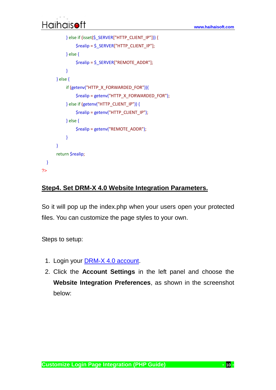```
 } else if (isset($_SERVER["HTTP_CLIENT_IP"])) {
                 $realip = $_SERVER["HTTP_CLIENT_IP"];
            } else {
                 $realip = $_SERVER["REMOTE_ADDR"];
            }
        } else {
             if (getenv("HTTP_X_FORWARDED_FOR")){
                 $realip = getenv("HTTP_X_FORWARDED_FOR");
            } else if (getenv("HTTP_CLIENT_IP")) {
                 $realip = getenv("HTTP_CLIENT_IP");
            } else {
                 $realip = getenv("REMOTE_ADDR");
            }
        }
        return $realip;
 }
?>
```
### <span id="page-9-0"></span>**Step4. Set DRM-X 4.0 Website Integration Parameters.**

So it will pop up the index.php when your users open your protected files. You can customize the page styles to your own.

Steps to setup:

- 1. Login your DRM-X 4.0 [account.](http://4.drm-x.com/)
- 2. Click the **Account Settings** in the left panel and choose the **Website Integration Preferences**, as shown in the screenshot below:

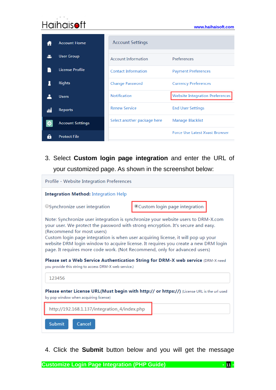|     | <b>Account Home</b>     | <b>Account Settings</b>     |                                        |
|-----|-------------------------|-----------------------------|----------------------------------------|
|     | <b>User Group</b>       | <b>Account Information</b>  | Preferences                            |
|     | <b>License Profile</b>  | <b>Contact Information</b>  | <b>Payment Preferences</b>             |
|     | <b>Rights</b>           | <b>Change Password</b>      | <b>Currency Preferences</b>            |
|     | <b>Users</b>            | <b>Notification</b>         | <b>Website Integration Preferences</b> |
| őĨ  | <b>Reports</b>          | <b>Renew Service</b>        | <b>End User Settings</b>               |
| to: | <b>Account Settings</b> | Select another package here | Manage Blacklist                       |
|     | <b>Protect File</b>     |                             | <b>Force Use Latest Xvast Browser</b>  |

3. Select **Custom login page integration** and enter the URL of your customized page. As shown in the screenshot below:

| Profile - Website Integration Preferences                                                                                                                                                                                                                                                                                                                                                                                                                     |                                |  |  |  |
|---------------------------------------------------------------------------------------------------------------------------------------------------------------------------------------------------------------------------------------------------------------------------------------------------------------------------------------------------------------------------------------------------------------------------------------------------------------|--------------------------------|--|--|--|
| <b>Integration Method: Integration Help</b>                                                                                                                                                                                                                                                                                                                                                                                                                   |                                |  |  |  |
| ○ Synchronize user integration                                                                                                                                                                                                                                                                                                                                                                                                                                | ©Custom login page integration |  |  |  |
| Note: Synchronize user integration is synchronize your website users to DRM-X.com<br>your user. We protect the password with strong encryption. It's secure and easy.<br>(Recommend for most users)<br>Custom login page integration is when user acquiring license, it will pop up your<br>website DRM login window to acquire license. It requires you create a new DRM login<br>page. It requires more code work. (Not Recommend, only for advanced users) |                                |  |  |  |
| Please set a Web Service Authentication String for DRM-X web service (DRM-X need<br>you provide this string to access DRM-X web service.)                                                                                                                                                                                                                                                                                                                     |                                |  |  |  |
| 123456                                                                                                                                                                                                                                                                                                                                                                                                                                                        |                                |  |  |  |
| Please enter License URL(Must begin with http:// or https://) (License URL is the url used<br>by pop window when acquiring license)                                                                                                                                                                                                                                                                                                                           |                                |  |  |  |
| http://192.168.1.137/integration_4/index.php                                                                                                                                                                                                                                                                                                                                                                                                                  |                                |  |  |  |
| <b>Submit</b><br>Cancel                                                                                                                                                                                                                                                                                                                                                                                                                                       |                                |  |  |  |

4. Click the **Submit** button below and you will get the message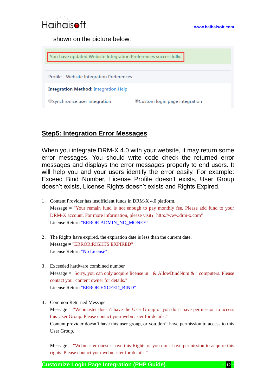

shown on the picture below:



### <span id="page-11-0"></span>**Step5: Integration Error Messages**

When you integrate DRM-X 4.0 with your website, it may return some error messages. You should write code check the returned error messages and displays the error messages properly to end users. It will help you and your users identify the error easily. For example: Exceed Bind Number, License Profile doesn't exists, User Group doesn't exists, License Rights doesn't exists and Rights Expired.

- 1. Content Provider has insufficient funds in DRM-X 4.0 platform. Message = "Your remain fund is not enough to pay monthly fee. Please add fund to your DRM-X account. For more information, please visit: http://www.drm-x.com" License Return "ERROR:ADMIN\_NO\_MONEY"
- 2. The Rights have expired, the expiration date is less than the current date. Message = "ERROR:RIGHTS EXPIRED" License Return "No License"
- 3. Exceeded hardware combined number Message = "Sorry, you can only acquire license in "  $&$  AllowBindNum  $&$  " computers. Please contact your content owner for details." License Return "ERROR:EXCEED\_BIND"

4. Common Returned Message Message = "Webmaster doesn't have the User Group or you don't have permission to access this User Group. Please contact your webmaster for details." Content provider doesn't have this user group, or you don't have permission to access to this User Group.

Message = "Webmaster doesn't have this Rights or you don't have permission to acquire this rights. Please contact your webmaster for details."

**Customize Login Page Integration (PHP Guide) - 12 -**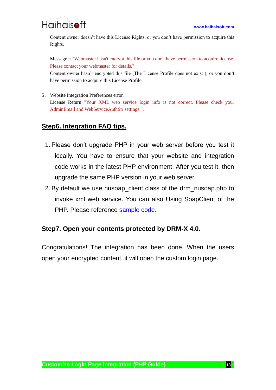Content owner doesn't have this License Rights, or you don't have permission to acquire this Rights.

Message = "Webmaster hasn't encrypt this file or you don't have permission to acquire license. Please contact your webmaster for details."

Content owner hasn't encrypted this file (The License Profile does not exist ), or you don't have permission to acquire this License Profile.

5. Website Integration Preferences error. License Return "Your XML web service login info is not correct. Please check your AdminEmail and WebServiceAuthStr settings.".

### <span id="page-12-0"></span>**Step6. Integration FAQ tips.**

- 1. Please don't upgrade PHP in your web server before you test it locally. You have to ensure that your website and integration code works in the latest PHP environment. After you test it, then upgrade the same PHP version in your web server.
- 2. By default we use nusoap\_client class of the drm\_nusoap.php to invoke xml web service. You can also Using SoapClient of the PHP. Please reference [sample code.](http://www.drm-x.com/download/DRM-X4.0_Custom_Login_Page_Integration_PHP.zip)

### <span id="page-12-1"></span>**Step7. Open your contents protected by DRM-X 4.0.**

Congratulations! The integration has been done. When the users open your encrypted content, it will open the custom login page.